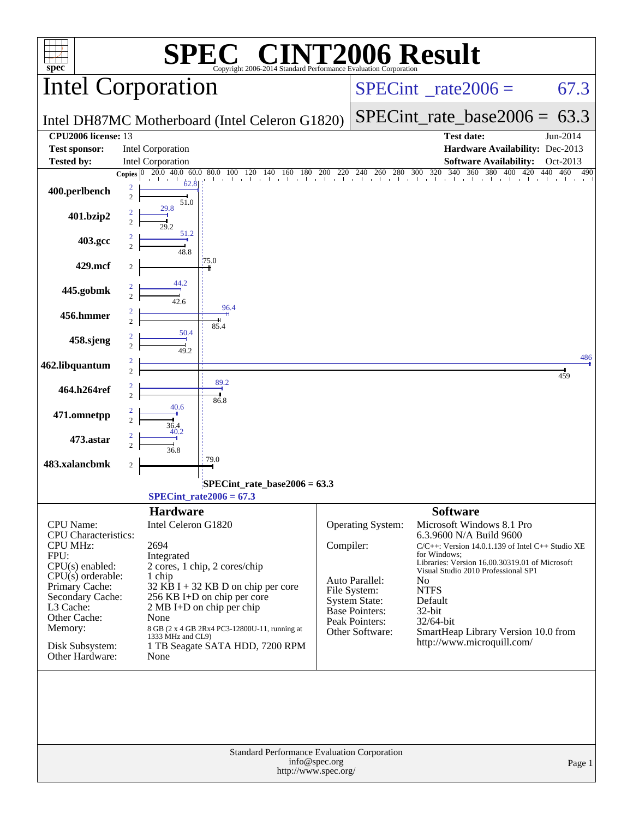|                                           |                                                | $\P(\overline{R})$                                              |               |                                      | <b>NT2006 Result</b>                                                                  |                |
|-------------------------------------------|------------------------------------------------|-----------------------------------------------------------------|---------------|--------------------------------------|---------------------------------------------------------------------------------------|----------------|
| spec <sup>®</sup>                         | <b>Intel Corporation</b>                       | Copyright 2006-2014 Standard Performance Evaluation Corporation |               |                                      | $SPECint^{\circ}$ <sub>_rate2006</sub> =                                              | 67.3           |
|                                           |                                                |                                                                 |               | $SPECint_rate\_base2006 =$           | 63.3                                                                                  |                |
| <b>CPU2006</b> license: 13                | Intel DH87MC Motherboard (Intel Celeron G1820) |                                                                 |               |                                      | <b>Test date:</b>                                                                     | Jun-2014       |
| <b>Test sponsor:</b><br><b>Tested by:</b> | Intel Corporation<br><b>Intel Corporation</b>  |                                                                 |               |                                      | Hardware Availability: Dec-2013<br><b>Software Availability:</b>                      | Oct-2013       |
|                                           | Copies $ 0\rangle$                             |                                                                 |               |                                      |                                                                                       | 440 460<br>490 |
| 400.perlbench                             | 62.8<br>2<br>$\overline{c}$<br>51.0            |                                                                 |               |                                      |                                                                                       |                |
| 401.bzip2                                 | 29.8<br>$\overline{2}$                         |                                                                 |               |                                      |                                                                                       |                |
| 403.gcc                                   | 51.2<br>48.8                                   |                                                                 |               |                                      |                                                                                       |                |
| 429.mcf                                   | 175.0<br>2                                     |                                                                 |               |                                      |                                                                                       |                |
| 445.gobmk                                 | 44.2<br>$\overline{c}$<br>42.6                 |                                                                 |               |                                      |                                                                                       |                |
| 456.hmmer                                 | $\overline{2}$                                 | 96.4<br>85.4                                                    |               |                                      |                                                                                       |                |
| 458.sjeng                                 | 50.4<br>$\overline{c}$<br>49.2                 |                                                                 |               |                                      |                                                                                       |                |
| 462.libquantum                            | $\overline{2}$                                 |                                                                 |               |                                      |                                                                                       | 486<br>459     |
| 464.h264ref                               | $\overline{c}$                                 | 89.2<br>86.8                                                    |               |                                      |                                                                                       |                |
| 471.omnetpp                               | 40.6<br>$\overline{c}$<br>36.4                 |                                                                 |               |                                      |                                                                                       |                |
| 473.astar                                 | 40.2<br>$\overline{2}$<br>36.8                 |                                                                 |               |                                      |                                                                                       |                |
| 483.xalancbmk                             | 79.0<br>2                                      |                                                                 |               |                                      |                                                                                       |                |
|                                           | $SPECint_rate2006 = 67.3$                      | SPECint_rate_base2006 = 63.3                                    |               |                                      |                                                                                       |                |
|                                           | <b>Hardware</b>                                |                                                                 |               |                                      | <b>Software</b>                                                                       |                |
| <b>CPU</b> Name:<br>CPU Characteristics:  | Intel Celeron G1820                            |                                                                 |               | Operating System:                    | Microsoft Windows 8.1 Pro<br>6.3.9600 N/A Build 9600                                  |                |
| <b>CPU MHz:</b><br>FPU:                   | 2694<br>Integrated                             |                                                                 | Compiler:     |                                      | $C/C++$ : Version 14.0.1.139 of Intel $C++$ Studio XE<br>for Windows:                 |                |
| CPU(s) enabled:                           | 2 cores, 1 chip, 2 cores/chip                  |                                                                 |               |                                      | Libraries: Version 16.00.30319.01 of Microsoft<br>Visual Studio 2010 Professional SP1 |                |
| $CPU(s)$ orderable:<br>Primary Cache:     | 1 chip                                         | $32$ KB I + 32 KB D on chip per core                            |               | Auto Parallel:                       | N <sub>0</sub><br><b>NTFS</b>                                                         |                |
| Secondary Cache:<br>L3 Cache:             | 256 KB I+D on chip per core                    |                                                                 |               | File System:<br><b>System State:</b> | Default                                                                               |                |
| Other Cache:                              | 2 MB I+D on chip per chip<br>None              |                                                                 |               | Base Pointers:<br>Peak Pointers:     | 32-bit<br>32/64-bit                                                                   |                |
| Memory:                                   | 1333 MHz and CL9)                              | 8 GB (2 x 4 GB 2Rx4 PC3-12800U-11, running at                   |               | Other Software:                      | SmartHeap Library Version 10.0 from                                                   |                |
| Disk Subsystem:<br>Other Hardware:        | None                                           | 1 TB Seagate SATA HDD, 7200 RPM                                 |               |                                      | http://www.microquill.com/                                                            |                |
|                                           |                                                |                                                                 |               |                                      |                                                                                       |                |
|                                           |                                                |                                                                 |               |                                      |                                                                                       |                |
|                                           |                                                |                                                                 |               |                                      |                                                                                       |                |
|                                           |                                                | Standard Performance Evaluation Corporation                     | info@spec.org |                                      |                                                                                       | Page 1         |
|                                           |                                                | http://www.spec.org/                                            |               |                                      |                                                                                       |                |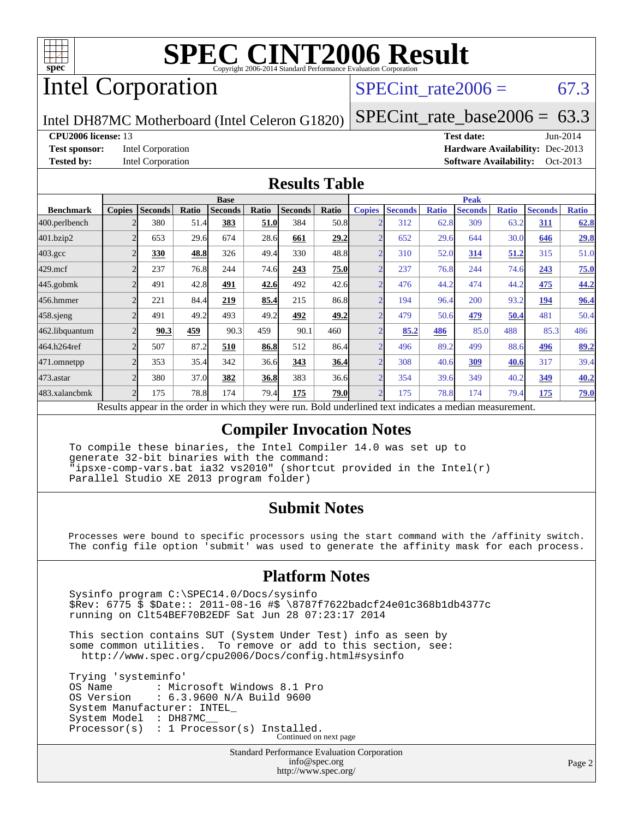

# Intel Corporation

#### $SPECTnt_rate2006 = 67.3$

Intel DH87MC Motherboard (Intel Celeron G1820)

[SPECint\\_rate\\_base2006 =](http://www.spec.org/auto/cpu2006/Docs/result-fields.html#SPECintratebase2006)  $63.3$ 

#### **[CPU2006 license:](http://www.spec.org/auto/cpu2006/Docs/result-fields.html#CPU2006license)** 13 **[Test date:](http://www.spec.org/auto/cpu2006/Docs/result-fields.html#Testdate)** Jun-2014

**[Test sponsor:](http://www.spec.org/auto/cpu2006/Docs/result-fields.html#Testsponsor)** Intel Corporation **[Hardware Availability:](http://www.spec.org/auto/cpu2006/Docs/result-fields.html#HardwareAvailability)** Dec-2013 **[Tested by:](http://www.spec.org/auto/cpu2006/Docs/result-fields.html#Testedby)** Intel Corporation **[Software Availability:](http://www.spec.org/auto/cpu2006/Docs/result-fields.html#SoftwareAvailability)** Oct-2013

#### **[Results Table](http://www.spec.org/auto/cpu2006/Docs/result-fields.html#ResultsTable)**

|                    |                          |                |              | <b>Base</b>    |       |                |                           | <b>Peak</b>    |                |              |                |              |                |              |
|--------------------|--------------------------|----------------|--------------|----------------|-------|----------------|---------------------------|----------------|----------------|--------------|----------------|--------------|----------------|--------------|
| <b>Benchmark</b>   | <b>Copies</b>            | <b>Seconds</b> | <b>Ratio</b> | <b>Seconds</b> | Ratio | <b>Seconds</b> | Ratio                     | <b>Copies</b>  | <b>Seconds</b> | <b>Ratio</b> | <b>Seconds</b> | <b>Ratio</b> | <b>Seconds</b> | <b>Ratio</b> |
| 400.perlbench      |                          | 380            | 51.4         | 383            | 51.0  | 384            | 50.8                      | <sub>o</sub>   | 312            | 62.8         | 309            | 63.2         | 311            | 62.8         |
| 401.bzip2          | $\overline{2}$           | 653            | 29.6         | 674            | 28.6  | 661            | 29.2                      | $\overline{2}$ | 652            | 29.6         | 644            | 30.0         | 646            | <u>29.8</u>  |
| $403.\mathrm{gcc}$ | C                        | 330            | 48.8         | 326            | 49.4  | 330            | 48.8                      | $\overline{ }$ | 310            | 52.0         | 314            | 51.2         | 315            | 51.0         |
| $429$ .mcf         | C                        | 237            | 76.8         | 244            | 74.6  | 243            | 75.0                      | $\overline{2}$ | 237            | 76.8         | 244            | 74.6         | 243            | 75.0         |
| $445$ .gobm $k$    | $\overline{c}$           | 491            | 42.8         | 491            | 42.6  | 492            | 42.6                      | $\overline{2}$ | 476            | 44.2         | 474            | 44.2         | 475            | 44.2         |
| 456.hmmer          | $\overline{c}$           | 221            | 84.4         | 219            | 85.4  | 215            | 86.8                      | $\overline{2}$ | 194            | 96.4         | 200            | 93.2         | 194            | 96.4         |
| $458$ .sjeng       | $\mathfrak{D}$           | 491            | 49.2         | 493            | 49.2  | 492            | 49.2                      | $\mathcal{D}$  | 479            | 50.6         | 479            | 50.4         | 481            | 50.4         |
| 462.libquantum     |                          | 90.3           | 459          | 90.3           | 459   | 90.1           | 460                       | $\sim$         | 85.2           | 486          | 85.0           | 488          | 85.3           | 486          |
| 464.h264ref        | $\overline{c}$           | 507            | 87.2         | 510            | 86.8  | 512            | 86.4                      | $\overline{2}$ | 496            | 89.2         | 499            | 88.6         | 496            | 89.2         |
| 471.omnetpp        | $\overline{2}$           | 353            | 35.4         | 342            | 36.6  | 343            | 36.4                      | $\sim$         | 308            | 40.6         | 309            | 40.6         | 317            | 39.4         |
| 473.astar          | $\overline{\mathcal{L}}$ | 380            | 37.0         | 382            | 36.8  | 383            | 36.6                      | $\overline{2}$ | 354            | 39.6         | 349            | 40.2         | 349            | 40.2         |
| 483.xalancbmk      | $\overline{c}$           | 175            | 78.8         | 174            | 79.4  | 175            | 79.0                      | $\overline{2}$ | 175            | 78.8         | 174            | 79.4         | 175            | <u>79.0</u>  |
| $\mathbf{r}$       | $\mathbf{I}$ .           |                | $\mathbf{1}$ | 1.1.1          |       |                | $\mathbf{r}$ $\mathbf{r}$ |                | $\cdots$       |              |                |              |                |              |

Results appear in the [order in which they were run.](http://www.spec.org/auto/cpu2006/Docs/result-fields.html#RunOrder) Bold underlined text [indicates a median measurement.](http://www.spec.org/auto/cpu2006/Docs/result-fields.html#Median)

#### **[Compiler Invocation Notes](http://www.spec.org/auto/cpu2006/Docs/result-fields.html#CompilerInvocationNotes)**

 To compile these binaries, the Intel Compiler 14.0 was set up to generate 32-bit binaries with the command: "ipsxe-comp-vars.bat ia32 vs2010" (shortcut provided in the Intel(r) Parallel Studio XE 2013 program folder)

#### **[Submit Notes](http://www.spec.org/auto/cpu2006/Docs/result-fields.html#SubmitNotes)**

 Processes were bound to specific processors using the start command with the /affinity switch. The config file option 'submit' was used to generate the affinity mask for each process.

#### **[Platform Notes](http://www.spec.org/auto/cpu2006/Docs/result-fields.html#PlatformNotes)**

 Sysinfo program C:\SPEC14.0/Docs/sysinfo \$Rev: 6775 \$ \$Date:: 2011-08-16 #\$ \8787f7622badcf24e01c368b1db4377c running on Clt54BEF70B2EDF Sat Jun 28 07:23:17 2014

 This section contains SUT (System Under Test) info as seen by some common utilities. To remove or add to this section, see: <http://www.spec.org/cpu2006/Docs/config.html#sysinfo>

 Trying 'systeminfo' OS Name : Microsoft Windows 8.1 Pro<br>OS Version : 6.3.9600 N/A Build 9600 : 6.3.9600 N/A Build 9600 System Manufacturer: INTEL\_ System Model : DH87MC\_\_ Processor(s) : 1 Processor(s) Installed. Continued on next page

> Standard Performance Evaluation Corporation [info@spec.org](mailto:info@spec.org) <http://www.spec.org/>

Page 2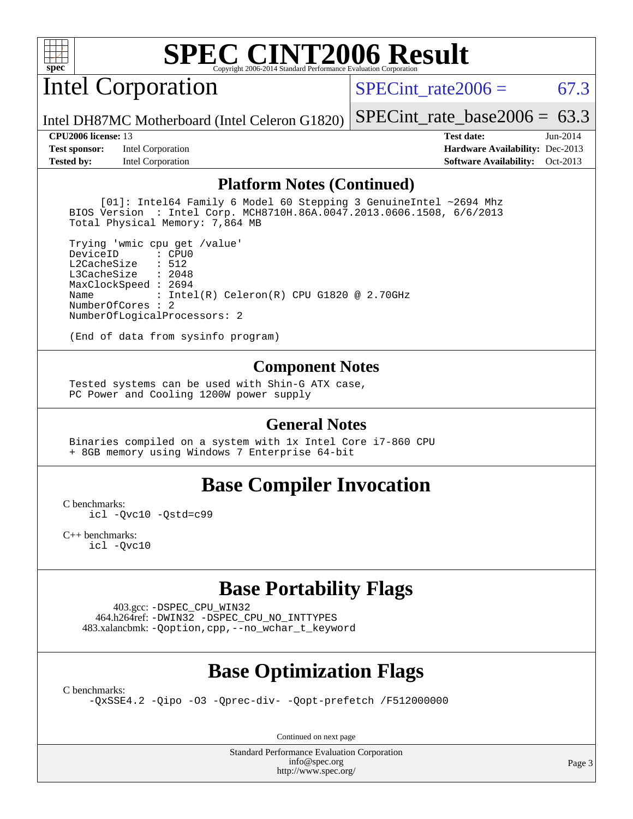

Intel Corporation

SPECint rate $2006 = 67.3$ 

Intel DH87MC Motherboard (Intel Celeron G1820) [SPECint\\_rate\\_base2006 =](http://www.spec.org/auto/cpu2006/Docs/result-fields.html#SPECintratebase2006)  $63.3$ 

**[Test sponsor:](http://www.spec.org/auto/cpu2006/Docs/result-fields.html#Testsponsor)** Intel Corporation **[Hardware Availability:](http://www.spec.org/auto/cpu2006/Docs/result-fields.html#HardwareAvailability)** Dec-2013 **[Tested by:](http://www.spec.org/auto/cpu2006/Docs/result-fields.html#Testedby)** Intel Corporation **[Software Availability:](http://www.spec.org/auto/cpu2006/Docs/result-fields.html#SoftwareAvailability)** Oct-2013

**[CPU2006 license:](http://www.spec.org/auto/cpu2006/Docs/result-fields.html#CPU2006license)** 13 **[Test date:](http://www.spec.org/auto/cpu2006/Docs/result-fields.html#Testdate)** Jun-2014

#### **[Platform Notes \(Continued\)](http://www.spec.org/auto/cpu2006/Docs/result-fields.html#PlatformNotes)**

 [01]: Intel64 Family 6 Model 60 Stepping 3 GenuineIntel ~2694 Mhz BIOS Version : Intel Corp. MCH8710H.86A.0047.2013.0606.1508, 6/6/2013 Total Physical Memory: 7,864 MB

 Trying 'wmic cpu get /value' DeviceID L2CacheSize : 512 L3CacheSize : 2048 MaxClockSpeed : 2694 Name : Intel(R) Celeron(R) CPU G1820 @ 2.70GHz NumberOfCores : 2 NumberOfLogicalProcessors: 2

(End of data from sysinfo program)

#### **[Component Notes](http://www.spec.org/auto/cpu2006/Docs/result-fields.html#ComponentNotes)**

 Tested systems can be used with Shin-G ATX case, PC Power and Cooling 1200W power supply

#### **[General Notes](http://www.spec.org/auto/cpu2006/Docs/result-fields.html#GeneralNotes)**

 Binaries compiled on a system with 1x Intel Core i7-860 CPU + 8GB memory using Windows 7 Enterprise 64-bit

#### **[Base Compiler Invocation](http://www.spec.org/auto/cpu2006/Docs/result-fields.html#BaseCompilerInvocation)**

[C benchmarks](http://www.spec.org/auto/cpu2006/Docs/result-fields.html#Cbenchmarks):

[icl -Qvc10](http://www.spec.org/cpu2006/results/res2014q3/cpu2006-20140715-30432.flags.html#user_CCbase_intel_icc_vc10_9607f3ecbcdf68042245f068e51b40c1) [-Qstd=c99](http://www.spec.org/cpu2006/results/res2014q3/cpu2006-20140715-30432.flags.html#user_CCbase_intel_compiler_c99_mode_1a3d110e3041b3ad4466830521bdad2a)

[C++ benchmarks:](http://www.spec.org/auto/cpu2006/Docs/result-fields.html#CXXbenchmarks) [icl -Qvc10](http://www.spec.org/cpu2006/results/res2014q3/cpu2006-20140715-30432.flags.html#user_CXXbase_intel_icc_vc10_9607f3ecbcdf68042245f068e51b40c1)

### **[Base Portability Flags](http://www.spec.org/auto/cpu2006/Docs/result-fields.html#BasePortabilityFlags)**

 403.gcc: [-DSPEC\\_CPU\\_WIN32](http://www.spec.org/cpu2006/results/res2014q3/cpu2006-20140715-30432.flags.html#b403.gcc_baseCPORTABILITY_DSPEC_CPU_WIN32) 464.h264ref: [-DWIN32](http://www.spec.org/cpu2006/results/res2014q3/cpu2006-20140715-30432.flags.html#b464.h264ref_baseCPORTABILITY_DWIN32) [-DSPEC\\_CPU\\_NO\\_INTTYPES](http://www.spec.org/cpu2006/results/res2014q3/cpu2006-20140715-30432.flags.html#b464.h264ref_baseCPORTABILITY_DSPEC_CPU_NO_INTTYPES) 483.xalancbmk: [-Qoption,cpp,--no\\_wchar\\_t\\_keyword](http://www.spec.org/cpu2006/results/res2014q3/cpu2006-20140715-30432.flags.html#user_baseCXXPORTABILITY483_xalancbmk_f-no_wchar_t_keyword_ec0ad4495a16b4e858bfcb29d949d25d)

## **[Base Optimization Flags](http://www.spec.org/auto/cpu2006/Docs/result-fields.html#BaseOptimizationFlags)**

[C benchmarks](http://www.spec.org/auto/cpu2006/Docs/result-fields.html#Cbenchmarks):

[-QxSSE4.2](http://www.spec.org/cpu2006/results/res2014q3/cpu2006-20140715-30432.flags.html#user_CCbase_f-QxSSE42_372695bbe211719895df0310b324a1ca) [-Qipo](http://www.spec.org/cpu2006/results/res2014q3/cpu2006-20140715-30432.flags.html#user_CCbase_f-Qipo) [-O3](http://www.spec.org/cpu2006/results/res2014q3/cpu2006-20140715-30432.flags.html#user_CCbase_f-O3) [-Qprec-div-](http://www.spec.org/cpu2006/results/res2014q3/cpu2006-20140715-30432.flags.html#user_CCbase_f-Qprec-div-) [-Qopt-prefetch](http://www.spec.org/cpu2006/results/res2014q3/cpu2006-20140715-30432.flags.html#user_CCbase_f-Qprefetch_37c211608666b9dff9380561f602f0a8) [/F512000000](http://www.spec.org/cpu2006/results/res2014q3/cpu2006-20140715-30432.flags.html#user_CCbase_set_stack_space_98438a10eb60aa5f35f4c79d9b9b27b1)

Continued on next page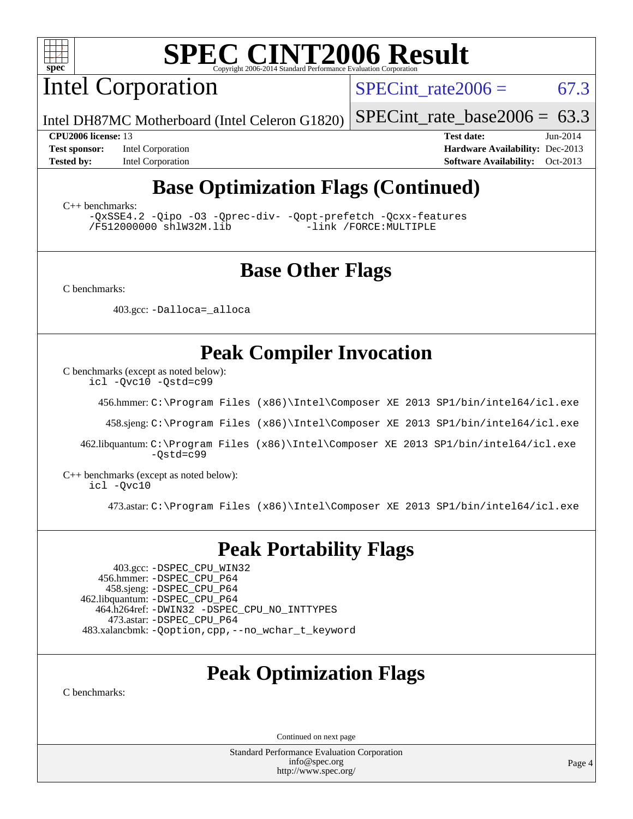

Intel Corporation

 $SPECTnt_rate2006 = 67.3$ 

Intel DH87MC Motherboard (Intel Celeron G1820)

[SPECint\\_rate\\_base2006 =](http://www.spec.org/auto/cpu2006/Docs/result-fields.html#SPECintratebase2006)  $63.3$ 

**[Test sponsor:](http://www.spec.org/auto/cpu2006/Docs/result-fields.html#Testsponsor)** Intel Corporation **[Hardware Availability:](http://www.spec.org/auto/cpu2006/Docs/result-fields.html#HardwareAvailability)** Dec-2013

**[CPU2006 license:](http://www.spec.org/auto/cpu2006/Docs/result-fields.html#CPU2006license)** 13 **[Test date:](http://www.spec.org/auto/cpu2006/Docs/result-fields.html#Testdate)** Jun-2014 **[Tested by:](http://www.spec.org/auto/cpu2006/Docs/result-fields.html#Testedby)** Intel Corporation **[Software Availability:](http://www.spec.org/auto/cpu2006/Docs/result-fields.html#SoftwareAvailability)** Oct-2013

# **[Base Optimization Flags \(Continued\)](http://www.spec.org/auto/cpu2006/Docs/result-fields.html#BaseOptimizationFlags)**

[C++ benchmarks:](http://www.spec.org/auto/cpu2006/Docs/result-fields.html#CXXbenchmarks)

[-QxSSE4.2](http://www.spec.org/cpu2006/results/res2014q3/cpu2006-20140715-30432.flags.html#user_CXXbase_f-QxSSE42_372695bbe211719895df0310b324a1ca) [-Qipo](http://www.spec.org/cpu2006/results/res2014q3/cpu2006-20140715-30432.flags.html#user_CXXbase_f-Qipo) [-O3](http://www.spec.org/cpu2006/results/res2014q3/cpu2006-20140715-30432.flags.html#user_CXXbase_f-O3) [-Qprec-div-](http://www.spec.org/cpu2006/results/res2014q3/cpu2006-20140715-30432.flags.html#user_CXXbase_f-Qprec-div-) [-Qopt-prefetch](http://www.spec.org/cpu2006/results/res2014q3/cpu2006-20140715-30432.flags.html#user_CXXbase_f-Qprefetch_37c211608666b9dff9380561f602f0a8) [-Qcxx-features](http://www.spec.org/cpu2006/results/res2014q3/cpu2006-20140715-30432.flags.html#user_CXXbase_f-Qcxx_features_dbf36c8a6dba956e22f1645e4dcd4d98) [/F512000000](http://www.spec.org/cpu2006/results/res2014q3/cpu2006-20140715-30432.flags.html#user_CXXbase_set_stack_space_98438a10eb60aa5f35f4c79d9b9b27b1) [shlW32M.lib](http://www.spec.org/cpu2006/results/res2014q3/cpu2006-20140715-30432.flags.html#user_CXXbase_SmartHeap32_d106338dfda1a055705c9b519e07f096)

## **[Base Other Flags](http://www.spec.org/auto/cpu2006/Docs/result-fields.html#BaseOtherFlags)**

[C benchmarks](http://www.spec.org/auto/cpu2006/Docs/result-fields.html#Cbenchmarks):

403.gcc: [-Dalloca=\\_alloca](http://www.spec.org/cpu2006/results/res2014q3/cpu2006-20140715-30432.flags.html#b403.gcc_baseEXTRA_CFLAGS_Dalloca_be3056838c12de2578596ca5467af7f3)

## **[Peak Compiler Invocation](http://www.spec.org/auto/cpu2006/Docs/result-fields.html#PeakCompilerInvocation)**

[C benchmarks \(except as noted below\)](http://www.spec.org/auto/cpu2006/Docs/result-fields.html#Cbenchmarksexceptasnotedbelow):

[icl -Qvc10](http://www.spec.org/cpu2006/results/res2014q3/cpu2006-20140715-30432.flags.html#user_CCpeak_intel_icc_vc10_9607f3ecbcdf68042245f068e51b40c1) [-Qstd=c99](http://www.spec.org/cpu2006/results/res2014q3/cpu2006-20140715-30432.flags.html#user_CCpeak_intel_compiler_c99_mode_1a3d110e3041b3ad4466830521bdad2a)

456.hmmer: [C:\Program Files \(x86\)\Intel\Composer XE 2013 SP1/bin/intel64/icl.exe](http://www.spec.org/cpu2006/results/res2014q3/cpu2006-20140715-30432.flags.html#user_peakCCLD456_hmmer_intel_icc_64bit_f549ed431576093dccb075b890b96ee2)

458.sjeng: [C:\Program Files \(x86\)\Intel\Composer XE 2013 SP1/bin/intel64/icl.exe](http://www.spec.org/cpu2006/results/res2014q3/cpu2006-20140715-30432.flags.html#user_peakCCLD458_sjeng_intel_icc_64bit_f549ed431576093dccb075b890b96ee2)

 462.libquantum: [C:\Program Files \(x86\)\Intel\Composer XE 2013 SP1/bin/intel64/icl.exe](http://www.spec.org/cpu2006/results/res2014q3/cpu2006-20140715-30432.flags.html#user_peakCCLD462_libquantum_intel_icc_64bit_f549ed431576093dccb075b890b96ee2) [-Qstd=c99](http://www.spec.org/cpu2006/results/res2014q3/cpu2006-20140715-30432.flags.html#user_peakCCLD462_libquantum_intel_compiler_c99_mode_1a3d110e3041b3ad4466830521bdad2a)

[C++ benchmarks \(except as noted below\):](http://www.spec.org/auto/cpu2006/Docs/result-fields.html#CXXbenchmarksexceptasnotedbelow) [icl -Qvc10](http://www.spec.org/cpu2006/results/res2014q3/cpu2006-20140715-30432.flags.html#user_CXXpeak_intel_icc_vc10_9607f3ecbcdf68042245f068e51b40c1)

473.astar: [C:\Program Files \(x86\)\Intel\Composer XE 2013 SP1/bin/intel64/icl.exe](http://www.spec.org/cpu2006/results/res2014q3/cpu2006-20140715-30432.flags.html#user_peakCXXLD473_astar_intel_icc_64bit_f549ed431576093dccb075b890b96ee2)

### **[Peak Portability Flags](http://www.spec.org/auto/cpu2006/Docs/result-fields.html#PeakPortabilityFlags)**

 403.gcc: [-DSPEC\\_CPU\\_WIN32](http://www.spec.org/cpu2006/results/res2014q3/cpu2006-20140715-30432.flags.html#b403.gcc_peakCPORTABILITY_DSPEC_CPU_WIN32) 456.hmmer: [-DSPEC\\_CPU\\_P64](http://www.spec.org/cpu2006/results/res2014q3/cpu2006-20140715-30432.flags.html#suite_peakPORTABILITY456_hmmer_DSPEC_CPU_P64) 458.sjeng: [-DSPEC\\_CPU\\_P64](http://www.spec.org/cpu2006/results/res2014q3/cpu2006-20140715-30432.flags.html#suite_peakPORTABILITY458_sjeng_DSPEC_CPU_P64) 462.libquantum: [-DSPEC\\_CPU\\_P64](http://www.spec.org/cpu2006/results/res2014q3/cpu2006-20140715-30432.flags.html#suite_peakPORTABILITY462_libquantum_DSPEC_CPU_P64) 464.h264ref: [-DWIN32](http://www.spec.org/cpu2006/results/res2014q3/cpu2006-20140715-30432.flags.html#b464.h264ref_peakCPORTABILITY_DWIN32) [-DSPEC\\_CPU\\_NO\\_INTTYPES](http://www.spec.org/cpu2006/results/res2014q3/cpu2006-20140715-30432.flags.html#b464.h264ref_peakCPORTABILITY_DSPEC_CPU_NO_INTTYPES) 473.astar: [-DSPEC\\_CPU\\_P64](http://www.spec.org/cpu2006/results/res2014q3/cpu2006-20140715-30432.flags.html#suite_peakPORTABILITY473_astar_DSPEC_CPU_P64) 483.xalancbmk: [-Qoption,cpp,--no\\_wchar\\_t\\_keyword](http://www.spec.org/cpu2006/results/res2014q3/cpu2006-20140715-30432.flags.html#user_peakCXXPORTABILITY483_xalancbmk_f-no_wchar_t_keyword_ec0ad4495a16b4e858bfcb29d949d25d)

## **[Peak Optimization Flags](http://www.spec.org/auto/cpu2006/Docs/result-fields.html#PeakOptimizationFlags)**

[C benchmarks](http://www.spec.org/auto/cpu2006/Docs/result-fields.html#Cbenchmarks):

Continued on next page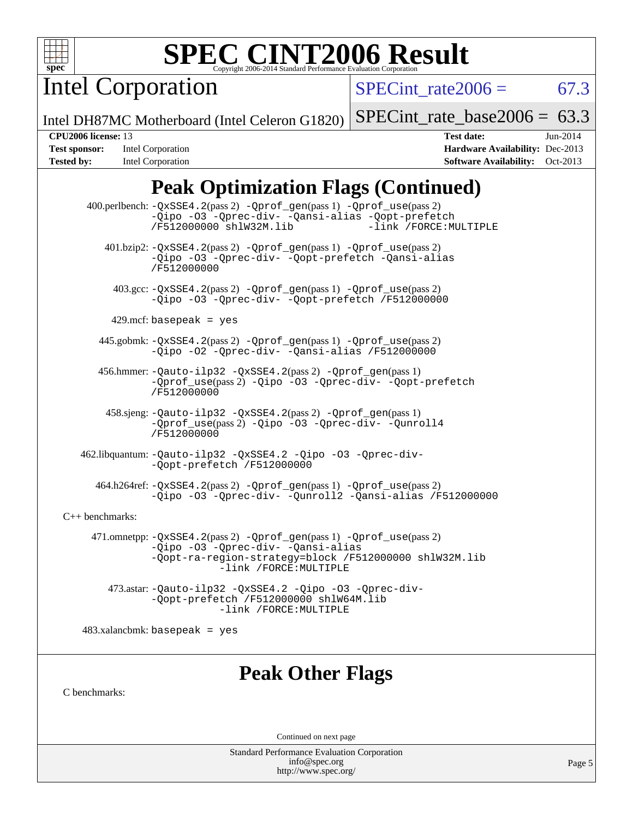

Intel Corporation

SPECint rate  $2006 = 67.3$ 

Intel DH87MC Motherboard (Intel Celeron G1820)

[SPECint\\_rate\\_base2006 =](http://www.spec.org/auto/cpu2006/Docs/result-fields.html#SPECintratebase2006)  $63.3$ 

**[Test sponsor:](http://www.spec.org/auto/cpu2006/Docs/result-fields.html#Testsponsor)** Intel Corporation **[Hardware Availability:](http://www.spec.org/auto/cpu2006/Docs/result-fields.html#HardwareAvailability)** Dec-2013 **[Tested by:](http://www.spec.org/auto/cpu2006/Docs/result-fields.html#Testedby)** Intel Corporation **[Software Availability:](http://www.spec.org/auto/cpu2006/Docs/result-fields.html#SoftwareAvailability)** Oct-2013

**[CPU2006 license:](http://www.spec.org/auto/cpu2006/Docs/result-fields.html#CPU2006license)** 13 **[Test date:](http://www.spec.org/auto/cpu2006/Docs/result-fields.html#Testdate)** Jun-2014

# **[Peak Optimization Flags \(Continued\)](http://www.spec.org/auto/cpu2006/Docs/result-fields.html#PeakOptimizationFlags)**

 400.perlbench: [-QxSSE4.2](http://www.spec.org/cpu2006/results/res2014q3/cpu2006-20140715-30432.flags.html#user_peakPASS2_CFLAGSPASS2_LDFLAGS400_perlbench_f-QxSSE42_372695bbe211719895df0310b324a1ca)(pass 2) [-Qprof\\_gen](http://www.spec.org/cpu2006/results/res2014q3/cpu2006-20140715-30432.flags.html#user_peakPASS1_CFLAGSPASS1_LDFLAGS400_perlbench_Qprof_gen)(pass 1) [-Qprof\\_use](http://www.spec.org/cpu2006/results/res2014q3/cpu2006-20140715-30432.flags.html#user_peakPASS2_CFLAGSPASS2_LDFLAGS400_perlbench_Qprof_use)(pass 2) [-Qipo](http://www.spec.org/cpu2006/results/res2014q3/cpu2006-20140715-30432.flags.html#user_peakOPTIMIZE400_perlbench_f-Qipo) [-O3](http://www.spec.org/cpu2006/results/res2014q3/cpu2006-20140715-30432.flags.html#user_peakOPTIMIZE400_perlbench_f-O3) [-Qprec-div-](http://www.spec.org/cpu2006/results/res2014q3/cpu2006-20140715-30432.flags.html#user_peakOPTIMIZE400_perlbench_f-Qprec-div-) [-Qansi-alias](http://www.spec.org/cpu2006/results/res2014q3/cpu2006-20140715-30432.flags.html#user_peakOPTIMIZE400_perlbench_f-Qansi-alias) [-Qopt-prefetch](http://www.spec.org/cpu2006/results/res2014q3/cpu2006-20140715-30432.flags.html#user_peakOPTIMIZE400_perlbench_f-Qprefetch_37c211608666b9dff9380561f602f0a8) [/F512000000](http://www.spec.org/cpu2006/results/res2014q3/cpu2006-20140715-30432.flags.html#user_peakEXTRA_LDFLAGS400_perlbench_set_stack_space_98438a10eb60aa5f35f4c79d9b9b27b1) [shlW32M.lib](http://www.spec.org/cpu2006/results/res2014q3/cpu2006-20140715-30432.flags.html#user_peakEXTRA_LIBS400_perlbench_SmartHeap32_d106338dfda1a055705c9b519e07f096) 401.bzip2: [-QxSSE4.2](http://www.spec.org/cpu2006/results/res2014q3/cpu2006-20140715-30432.flags.html#user_peakPASS2_CFLAGSPASS2_LDFLAGS401_bzip2_f-QxSSE42_372695bbe211719895df0310b324a1ca)(pass 2) [-Qprof\\_gen](http://www.spec.org/cpu2006/results/res2014q3/cpu2006-20140715-30432.flags.html#user_peakPASS1_CFLAGSPASS1_LDFLAGS401_bzip2_Qprof_gen)(pass 1) [-Qprof\\_use](http://www.spec.org/cpu2006/results/res2014q3/cpu2006-20140715-30432.flags.html#user_peakPASS2_CFLAGSPASS2_LDFLAGS401_bzip2_Qprof_use)(pass 2) [-Qipo](http://www.spec.org/cpu2006/results/res2014q3/cpu2006-20140715-30432.flags.html#user_peakOPTIMIZE401_bzip2_f-Qipo) [-O3](http://www.spec.org/cpu2006/results/res2014q3/cpu2006-20140715-30432.flags.html#user_peakOPTIMIZE401_bzip2_f-O3) [-Qprec-div-](http://www.spec.org/cpu2006/results/res2014q3/cpu2006-20140715-30432.flags.html#user_peakOPTIMIZE401_bzip2_f-Qprec-div-) [-Qopt-prefetch](http://www.spec.org/cpu2006/results/res2014q3/cpu2006-20140715-30432.flags.html#user_peakOPTIMIZE401_bzip2_f-Qprefetch_37c211608666b9dff9380561f602f0a8) [-Qansi-alias](http://www.spec.org/cpu2006/results/res2014q3/cpu2006-20140715-30432.flags.html#user_peakOPTIMIZE401_bzip2_f-Qansi-alias) [/F512000000](http://www.spec.org/cpu2006/results/res2014q3/cpu2006-20140715-30432.flags.html#user_peakEXTRA_LDFLAGS401_bzip2_set_stack_space_98438a10eb60aa5f35f4c79d9b9b27b1) 403.gcc: [-QxSSE4.2](http://www.spec.org/cpu2006/results/res2014q3/cpu2006-20140715-30432.flags.html#user_peakPASS2_CFLAGSPASS2_LDFLAGS403_gcc_f-QxSSE42_372695bbe211719895df0310b324a1ca)(pass 2) [-Qprof\\_gen](http://www.spec.org/cpu2006/results/res2014q3/cpu2006-20140715-30432.flags.html#user_peakPASS1_CFLAGSPASS1_LDFLAGS403_gcc_Qprof_gen)(pass 1) [-Qprof\\_use](http://www.spec.org/cpu2006/results/res2014q3/cpu2006-20140715-30432.flags.html#user_peakPASS2_CFLAGSPASS2_LDFLAGS403_gcc_Qprof_use)(pass 2) [-Qipo](http://www.spec.org/cpu2006/results/res2014q3/cpu2006-20140715-30432.flags.html#user_peakOPTIMIZE403_gcc_f-Qipo) [-O3](http://www.spec.org/cpu2006/results/res2014q3/cpu2006-20140715-30432.flags.html#user_peakOPTIMIZE403_gcc_f-O3) [-Qprec-div-](http://www.spec.org/cpu2006/results/res2014q3/cpu2006-20140715-30432.flags.html#user_peakOPTIMIZE403_gcc_f-Qprec-div-) [-Qopt-prefetch](http://www.spec.org/cpu2006/results/res2014q3/cpu2006-20140715-30432.flags.html#user_peakOPTIMIZE403_gcc_f-Qprefetch_37c211608666b9dff9380561f602f0a8) [/F512000000](http://www.spec.org/cpu2006/results/res2014q3/cpu2006-20140715-30432.flags.html#user_peakEXTRA_LDFLAGS403_gcc_set_stack_space_98438a10eb60aa5f35f4c79d9b9b27b1) 429.mcf: basepeak = yes 445.gobmk: [-QxSSE4.2](http://www.spec.org/cpu2006/results/res2014q3/cpu2006-20140715-30432.flags.html#user_peakPASS2_CFLAGSPASS2_LDFLAGS445_gobmk_f-QxSSE42_372695bbe211719895df0310b324a1ca)(pass 2) [-Qprof\\_gen](http://www.spec.org/cpu2006/results/res2014q3/cpu2006-20140715-30432.flags.html#user_peakPASS1_CFLAGSPASS1_LDFLAGS445_gobmk_Qprof_gen)(pass 1) [-Qprof\\_use](http://www.spec.org/cpu2006/results/res2014q3/cpu2006-20140715-30432.flags.html#user_peakPASS2_CFLAGSPASS2_LDFLAGS445_gobmk_Qprof_use)(pass 2) [-Qipo](http://www.spec.org/cpu2006/results/res2014q3/cpu2006-20140715-30432.flags.html#user_peakOPTIMIZE445_gobmk_f-Qipo) [-O2](http://www.spec.org/cpu2006/results/res2014q3/cpu2006-20140715-30432.flags.html#user_peakOPTIMIZE445_gobmk_f-O2) [-Qprec-div-](http://www.spec.org/cpu2006/results/res2014q3/cpu2006-20140715-30432.flags.html#user_peakOPTIMIZE445_gobmk_f-Qprec-div-) [-Qansi-alias](http://www.spec.org/cpu2006/results/res2014q3/cpu2006-20140715-30432.flags.html#user_peakOPTIMIZE445_gobmk_f-Qansi-alias) [/F512000000](http://www.spec.org/cpu2006/results/res2014q3/cpu2006-20140715-30432.flags.html#user_peakEXTRA_LDFLAGS445_gobmk_set_stack_space_98438a10eb60aa5f35f4c79d9b9b27b1) 456.hmmer: [-Qauto-ilp32](http://www.spec.org/cpu2006/results/res2014q3/cpu2006-20140715-30432.flags.html#user_peakCCLD456_hmmer_f-Qauto-ilp32) [-QxSSE4.2](http://www.spec.org/cpu2006/results/res2014q3/cpu2006-20140715-30432.flags.html#user_peakPASS2_CFLAGSPASS2_LDFLAGS456_hmmer_f-QxSSE42_372695bbe211719895df0310b324a1ca)(pass 2) [-Qprof\\_gen](http://www.spec.org/cpu2006/results/res2014q3/cpu2006-20140715-30432.flags.html#user_peakPASS1_CFLAGSPASS1_LDFLAGS456_hmmer_Qprof_gen)(pass 1) [-Qprof\\_use](http://www.spec.org/cpu2006/results/res2014q3/cpu2006-20140715-30432.flags.html#user_peakPASS2_CFLAGSPASS2_LDFLAGS456_hmmer_Qprof_use)(pass 2) [-Qipo](http://www.spec.org/cpu2006/results/res2014q3/cpu2006-20140715-30432.flags.html#user_peakOPTIMIZE456_hmmer_f-Qipo) [-O3](http://www.spec.org/cpu2006/results/res2014q3/cpu2006-20140715-30432.flags.html#user_peakOPTIMIZE456_hmmer_f-O3) [-Qprec-div-](http://www.spec.org/cpu2006/results/res2014q3/cpu2006-20140715-30432.flags.html#user_peakOPTIMIZE456_hmmer_f-Qprec-div-) [-Qopt-prefetch](http://www.spec.org/cpu2006/results/res2014q3/cpu2006-20140715-30432.flags.html#user_peakOPTIMIZE456_hmmer_f-Qprefetch_37c211608666b9dff9380561f602f0a8) [/F512000000](http://www.spec.org/cpu2006/results/res2014q3/cpu2006-20140715-30432.flags.html#user_peakEXTRA_LDFLAGS456_hmmer_set_stack_space_98438a10eb60aa5f35f4c79d9b9b27b1) 458.sjeng: [-Qauto-ilp32](http://www.spec.org/cpu2006/results/res2014q3/cpu2006-20140715-30432.flags.html#user_peakCCLD458_sjeng_f-Qauto-ilp32) [-QxSSE4.2](http://www.spec.org/cpu2006/results/res2014q3/cpu2006-20140715-30432.flags.html#user_peakPASS2_CFLAGSPASS2_LDFLAGS458_sjeng_f-QxSSE42_372695bbe211719895df0310b324a1ca)(pass 2) [-Qprof\\_gen](http://www.spec.org/cpu2006/results/res2014q3/cpu2006-20140715-30432.flags.html#user_peakPASS1_CFLAGSPASS1_LDFLAGS458_sjeng_Qprof_gen)(pass 1) [-Qprof\\_use](http://www.spec.org/cpu2006/results/res2014q3/cpu2006-20140715-30432.flags.html#user_peakPASS2_CFLAGSPASS2_LDFLAGS458_sjeng_Qprof_use)(pass 2) [-Qipo](http://www.spec.org/cpu2006/results/res2014q3/cpu2006-20140715-30432.flags.html#user_peakOPTIMIZE458_sjeng_f-Qipo) [-O3](http://www.spec.org/cpu2006/results/res2014q3/cpu2006-20140715-30432.flags.html#user_peakOPTIMIZE458_sjeng_f-O3) [-Qprec-div-](http://www.spec.org/cpu2006/results/res2014q3/cpu2006-20140715-30432.flags.html#user_peakOPTIMIZE458_sjeng_f-Qprec-div-) [-Qunroll4](http://www.spec.org/cpu2006/results/res2014q3/cpu2006-20140715-30432.flags.html#user_peakOPTIMIZE458_sjeng_f-Qunroll_013b1c0ea3aa84ef2c65e488bcc3d968) [/F512000000](http://www.spec.org/cpu2006/results/res2014q3/cpu2006-20140715-30432.flags.html#user_peakEXTRA_LDFLAGS458_sjeng_set_stack_space_98438a10eb60aa5f35f4c79d9b9b27b1) 462.libquantum: [-Qauto-ilp32](http://www.spec.org/cpu2006/results/res2014q3/cpu2006-20140715-30432.flags.html#user_peakCCLD462_libquantum_f-Qauto-ilp32) [-QxSSE4.2](http://www.spec.org/cpu2006/results/res2014q3/cpu2006-20140715-30432.flags.html#user_peakOPTIMIZE462_libquantum_f-QxSSE42_372695bbe211719895df0310b324a1ca) [-Qipo](http://www.spec.org/cpu2006/results/res2014q3/cpu2006-20140715-30432.flags.html#user_peakOPTIMIZE462_libquantum_f-Qipo) [-O3](http://www.spec.org/cpu2006/results/res2014q3/cpu2006-20140715-30432.flags.html#user_peakOPTIMIZE462_libquantum_f-O3) [-Qprec-div-](http://www.spec.org/cpu2006/results/res2014q3/cpu2006-20140715-30432.flags.html#user_peakOPTIMIZE462_libquantum_f-Qprec-div-) [-Qopt-prefetch](http://www.spec.org/cpu2006/results/res2014q3/cpu2006-20140715-30432.flags.html#user_peakOPTIMIZE462_libquantum_f-Qprefetch_37c211608666b9dff9380561f602f0a8) [/F512000000](http://www.spec.org/cpu2006/results/res2014q3/cpu2006-20140715-30432.flags.html#user_peakEXTRA_LDFLAGS462_libquantum_set_stack_space_98438a10eb60aa5f35f4c79d9b9b27b1) 464.h264ref: [-QxSSE4.2](http://www.spec.org/cpu2006/results/res2014q3/cpu2006-20140715-30432.flags.html#user_peakPASS2_CFLAGSPASS2_LDFLAGS464_h264ref_f-QxSSE42_372695bbe211719895df0310b324a1ca)(pass 2) [-Qprof\\_gen](http://www.spec.org/cpu2006/results/res2014q3/cpu2006-20140715-30432.flags.html#user_peakPASS1_CFLAGSPASS1_LDFLAGS464_h264ref_Qprof_gen)(pass 1) [-Qprof\\_use](http://www.spec.org/cpu2006/results/res2014q3/cpu2006-20140715-30432.flags.html#user_peakPASS2_CFLAGSPASS2_LDFLAGS464_h264ref_Qprof_use)(pass 2) [-Qipo](http://www.spec.org/cpu2006/results/res2014q3/cpu2006-20140715-30432.flags.html#user_peakOPTIMIZE464_h264ref_f-Qipo) [-O3](http://www.spec.org/cpu2006/results/res2014q3/cpu2006-20140715-30432.flags.html#user_peakOPTIMIZE464_h264ref_f-O3) [-Qprec-div-](http://www.spec.org/cpu2006/results/res2014q3/cpu2006-20140715-30432.flags.html#user_peakOPTIMIZE464_h264ref_f-Qprec-div-) [-Qunroll2](http://www.spec.org/cpu2006/results/res2014q3/cpu2006-20140715-30432.flags.html#user_peakOPTIMIZE464_h264ref_f-Qunroll_1d9456aa650e77fc2a0cf43cef3fa08c) [-Qansi-alias](http://www.spec.org/cpu2006/results/res2014q3/cpu2006-20140715-30432.flags.html#user_peakOPTIMIZE464_h264ref_f-Qansi-alias) [/F512000000](http://www.spec.org/cpu2006/results/res2014q3/cpu2006-20140715-30432.flags.html#user_peakEXTRA_LDFLAGS464_h264ref_set_stack_space_98438a10eb60aa5f35f4c79d9b9b27b1) [C++ benchmarks:](http://www.spec.org/auto/cpu2006/Docs/result-fields.html#CXXbenchmarks) 471.omnetpp: [-QxSSE4.2](http://www.spec.org/cpu2006/results/res2014q3/cpu2006-20140715-30432.flags.html#user_peakPASS2_CXXFLAGSPASS2_LDFLAGS471_omnetpp_f-QxSSE42_372695bbe211719895df0310b324a1ca)(pass 2) [-Qprof\\_gen](http://www.spec.org/cpu2006/results/res2014q3/cpu2006-20140715-30432.flags.html#user_peakPASS1_CXXFLAGSPASS1_LDFLAGS471_omnetpp_Qprof_gen)(pass 1) [-Qprof\\_use](http://www.spec.org/cpu2006/results/res2014q3/cpu2006-20140715-30432.flags.html#user_peakPASS2_CXXFLAGSPASS2_LDFLAGS471_omnetpp_Qprof_use)(pass 2) [-Qipo](http://www.spec.org/cpu2006/results/res2014q3/cpu2006-20140715-30432.flags.html#user_peakOPTIMIZE471_omnetpp_f-Qipo) [-O3](http://www.spec.org/cpu2006/results/res2014q3/cpu2006-20140715-30432.flags.html#user_peakOPTIMIZE471_omnetpp_f-O3) [-Qprec-div-](http://www.spec.org/cpu2006/results/res2014q3/cpu2006-20140715-30432.flags.html#user_peakOPTIMIZE471_omnetpp_f-Qprec-div-) [-Qansi-alias](http://www.spec.org/cpu2006/results/res2014q3/cpu2006-20140715-30432.flags.html#user_peakOPTIMIZE471_omnetpp_f-Qansi-alias) [-Qopt-ra-region-strategy=block](http://www.spec.org/cpu2006/results/res2014q3/cpu2006-20140715-30432.flags.html#user_peakOPTIMIZE471_omnetpp_f-Qopt-ra-region-strategy_d2240e80a5d9053a1fd400255dbf4159) [/F512000000](http://www.spec.org/cpu2006/results/res2014q3/cpu2006-20140715-30432.flags.html#user_peakEXTRA_LDFLAGS471_omnetpp_set_stack_space_98438a10eb60aa5f35f4c79d9b9b27b1) [shlW32M.lib](http://www.spec.org/cpu2006/results/res2014q3/cpu2006-20140715-30432.flags.html#user_peakEXTRA_LIBS471_omnetpp_SmartHeap32_d106338dfda1a055705c9b519e07f096)  [-link /FORCE:MULTIPLE](http://www.spec.org/cpu2006/results/res2014q3/cpu2006-20140715-30432.flags.html#user_peakLDOUT471_omnetpp_link_force_multiple2_070fe330869edf77077b841074b8b0b6)

 473.astar: [-Qauto-ilp32](http://www.spec.org/cpu2006/results/res2014q3/cpu2006-20140715-30432.flags.html#user_peakCXXLD473_astar_f-Qauto-ilp32) [-QxSSE4.2](http://www.spec.org/cpu2006/results/res2014q3/cpu2006-20140715-30432.flags.html#user_peakOPTIMIZE473_astar_f-QxSSE42_372695bbe211719895df0310b324a1ca) [-Qipo](http://www.spec.org/cpu2006/results/res2014q3/cpu2006-20140715-30432.flags.html#user_peakOPTIMIZE473_astar_f-Qipo) [-O3](http://www.spec.org/cpu2006/results/res2014q3/cpu2006-20140715-30432.flags.html#user_peakOPTIMIZE473_astar_f-O3) [-Qprec-div-](http://www.spec.org/cpu2006/results/res2014q3/cpu2006-20140715-30432.flags.html#user_peakOPTIMIZE473_astar_f-Qprec-div-) [-Qopt-prefetch](http://www.spec.org/cpu2006/results/res2014q3/cpu2006-20140715-30432.flags.html#user_peakOPTIMIZE473_astar_f-Qprefetch_37c211608666b9dff9380561f602f0a8) [/F512000000](http://www.spec.org/cpu2006/results/res2014q3/cpu2006-20140715-30432.flags.html#user_peakEXTRA_LDFLAGS473_astar_set_stack_space_98438a10eb60aa5f35f4c79d9b9b27b1) [shlW64M.lib](http://www.spec.org/cpu2006/results/res2014q3/cpu2006-20140715-30432.flags.html#user_peakEXTRA_LIBS473_astar_SmartHeap64_c4f7f76711bdf8c0633a5c1edf6e5396)  [-link /FORCE:MULTIPLE](http://www.spec.org/cpu2006/results/res2014q3/cpu2006-20140715-30432.flags.html#user_peakLDOUT473_astar_link_force_multiple2_070fe330869edf77077b841074b8b0b6)

 $483.xalanchmk: basepeak = yes$ 

## **[Peak Other Flags](http://www.spec.org/auto/cpu2006/Docs/result-fields.html#PeakOtherFlags)**

[C benchmarks](http://www.spec.org/auto/cpu2006/Docs/result-fields.html#Cbenchmarks):

Continued on next page